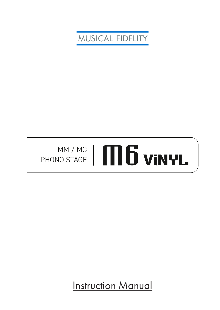MUSICAL FIDELITY

# MM / MC MM/MC | **MD VINYL**

Instruction Manual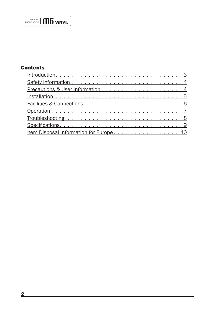# **Contents**

| Precautions & User Information4         |
|-----------------------------------------|
|                                         |
|                                         |
|                                         |
|                                         |
|                                         |
| Item Disposal Information for Europe 10 |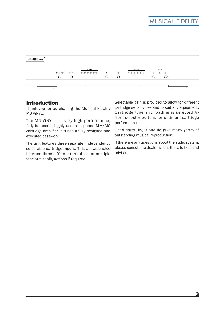

### **Introduction**

Thank you for purchasing the Musical Fidelity M6 ViNYL.

The M6 ViNYL is a very high performance, fully balanced, highly accurate phono MM/MC cartridge amplifier in a beautifully designed and executed casework.

The unit features three separate, independently selectable cartridge inputs. This allows choice between three different turntables, or multiple tone arm configurations if required.

Selectable gain is provided to allow for different cartridge sensitivities and to suit any equipment. Cartridge type and loading is selected by front selector buttons for optimum cartridge performance.

Used carefully, it should give many years of outstanding musical reproduction.

If there are any questions about the audio system, please consult the dealer who is there to help and advise.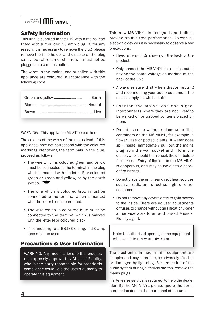

## Safety Information

This unit is supplied in the U.K. with a mains lead fitted with a moulded 13 amp plug. If, for any reason, it is necessary to remove the plug, please remove the fuse holder and dispose of the plug safely, out of reach of children. It must not be plugged into a mains outlet.

The wires in the mains lead supplied with this appliance are coloured in accordance with the following code

WARNING - This appliance MUST be earthed.

The colours of the wires of the mains lead of this appliance, may not correspond with the coloured markings identifying the terminals in the plug, proceed as follows:

- The wire which is coloured green and yellow must be connected to the terminal in the plug which is marked with the letter E or coloured green or green-and-yellow, or by the earth symbol:  $\equiv$
- The wire which is coloured brown must be connected to the terminal which is marked with the letter L or coloured red.
- The wire which is coloured blue must be connected to the terminal which is marked with the letter N or coloured black.
- If connecting to a BS1363 plug, a 13 amp fuse must be used.

## Precautions & User Information

WARNING: Any modifications to this product, not expressly approved by Musical Fidelity, who is the party responsible for standards compliance could void the user's authority to operate this equipment.

This new M6 ViNYL is designed and built to provide trouble-free performance. As with all electronic devices it is necessary to observe a few precautions:

- Heed all warnings shown on the back of the product.
- Only connect the M6 ViNYL to a mains outlet having the same voltage as marked at the back of the unit.
- Always ensure that when disconnecting and reconnecting your audio equipment the mains supply is switched off.
- Position the mains lead and signal interconnects where they are not likely to be walked on or trapped by items placed on them.
- Do not use near water, or place water-filled containers on the M6 ViNYL, for example, a flower vase or potted plants. If water does spill inside, immediately pull out the mains plug from the wall socket and inform the dealer, who should then check the unit before further use. Entry of liquid into the M6 ViNYL is dangerous, and may cause electric shock or fire hazard.
- Do not place the unit near direct heat sources such as radiators, direct sunlight or other equipment.
- Do not remove any covers or try to gain access to the inside. There are no user adjustments or fuses to change without qualification. Refer all service work to an authorised Musical Fidelity agent.

Note: Unauthorised opening of the equipment will invalidate any warranty claim.

The electronics in modern hi-fi equipment are complex and may, therefore, be adversely affected or damaged by lightning. For protection of the audio system during electrical storms, remove the mains plugs.

If after-sales service is required, to help the dealer identify the M6 ViNYL please quote the serial number located on the rear panel of the unit.

4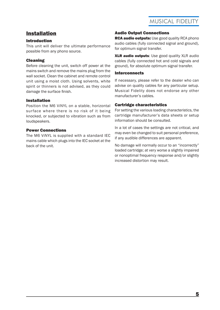# Installation

#### Introduction

This unit will deliver the ultimate performance possible from any phono source.

#### Cleaning

Before cleaning the unit, switch off power at the mains switch and remove the mains plug from the wall socket. Clean the cabinet and remote control unit using a moist cloth. Using solvents, white spirit or thinners is not advised, as they could damage the surface finish.

#### Installation

Position the M6 ViNYL on a stable, horizontal surface where there is no risk of it being knocked, or subjected to vibration such as from loudspeakers.

#### Power Connections

The M6 ViNYL is supplied with a standard IEC mains cable which plugs into the IEC socket at the back of the unit.

#### Audio Output Connections

RCA audio outputs: Use good quality RCA phono audio cables (fully connected signal and ground), for optimum signal transfer.

**XLR audio outputs:** Use good quality XLR audio cables (fully connected hot and cold signals and ground), for absolute optimum signal transfer.

#### **Interconnects**

If necessary, please refer to the dealer who can advise on quality cables for any particular setup. Musical Fidelity does not endorse any other manufacturer's cables.

#### Cartridge characteristics

For setting the various loading characteristics, the cartridge manufacturer's data sheets or setup information should be consulted.

In a lot of cases the settings are not critical, and may even be changed to suit personal preference, if any audible differences are apparent.

No damage will normally occur to an "incorrectly" loaded cartridge; at very worse a slightly impaired or nonoptimal frequency response and/or slightly increased distortion may result.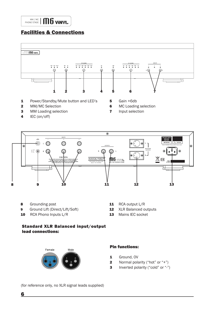# Facilities & Connections





8 Grounding post

6

- 9 Ground Lift (Direct/Lift/Soft)
- 10 RCA Phono Inputs L/R
- 11 RCA output L/R
- 12 XLR Balanced outputs
- 13 Mains IEC socket
- Standard XLR Balanced input/output lead connections:



#### Pin functions:

- 1 Ground, OV
- **2** Normal polarity ("hot" or " $+$ ")
- 3 Inverted polarity ("cold" or "-")

(for reference only, no XLR signal leads supplied)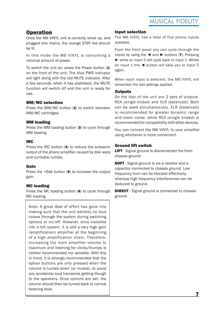## **Operation**

Once the M6 ViNYL unit is correctly wired up, and plugged into mains, the orange STBY led should be lit.

In this mode the M6 ViNYL is consuming a minimal amount of power.

To switch the unit on, press the Power button  $(1)$ on the front of the unit. The blue PWR indicator will light along with the red MUTE indicator. After a few seconds, when it has stabilised, the MUTE function will switch off and the unit is ready for use.

#### MM/MC selection

Press the MM/MC button (2) to switch between MM/MC cartridges.

#### MM loading

Press the MM loading button (3) to cycle through MM loading.

#### IRC

Press the IRC button (4) to reduce the subsonic output of the phono amplifier caused by disk warp and turntable rumble.

#### Gain

Press the +6db button (5) to increase the output gain.

#### MC loading

Press the MC loading button (6) to cycle through MC loading.

Note: A great deal of effort has gone into making sure that the unit exhibits no loud noises through the system during switching options or on/off. However, once installed into a hifi system, it is still a very high gain (amplification) amplifier at the beginning of a high amplification chain. Therefore, increasing the main amplifier volume to maximum and listening for clicks/thumps is neither recommended nor sensible. With this in mind, it is strongly recommended that the option buttons are only pressed when the volume is turned down (or muted), to avoid any accidental loud transients getting though to the speakers. Once options are set, the volume should then be turned back to normal listening level.

#### Input selection

The M6 ViNYL has a total of five phono inputs available.

From the front panel you can cycle through the inputs by using the  $\triangleleft$  and  $\triangleright$  buttons (7). Pressing ► while on input 5 will cycle back to input 1. Whilst on input 1 the  $\blacktriangleleft$  button will take you to input 5 again.

When each input is selected, the M6 ViNYL will remember the last settings applied.

#### **Outputs**

On the rear of the unit are 2 sets of outputs. RCA (single ended) and XLR (balanced). Both can be used simultaneously. XLR (balanced) is recommended for greater dynamic range and lower noise, while RCA (single ended) is recommended for compatibility with other devices .

You can connect the M6 ViNYL to your amplifier using whichever is more convenient.

#### Ground lift switch

**LIFT** - Signal ground is disconnected the from chassis ground

**SOFT** - Signal ground is via a resistor and a capacitor connected to chassis ground. Low frequency hum can be blocked effectively, whereas high frequency interferences can be deduced to ground.

**DIRECT** - Signal ground is connected to chassis ground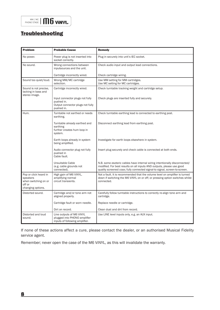## MM / MC PHONO STAGE  $|\bigcap_{\text{PHONO STAGE}}$

# **Troubleshooting**

| <b>Problem</b>                                                                           | <b>Probable Cause</b>                                                                           | <b>Remedy</b>                                                                                                                                                                                                                     |
|------------------------------------------------------------------------------------------|-------------------------------------------------------------------------------------------------|-----------------------------------------------------------------------------------------------------------------------------------------------------------------------------------------------------------------------------------|
| No power.                                                                                | Power plug is not inserted into<br>socket correctly.                                            | Plug in securely into unit's IEC socket.                                                                                                                                                                                          |
| No sound.                                                                                | Wrong connections between<br>inputsources and the unit.                                         | Check audio input and output lead connections.                                                                                                                                                                                    |
|                                                                                          | Cartridge incorrectly wired.                                                                    | Check cartridge wiring.                                                                                                                                                                                                           |
| Sound too quiet/loud.                                                                    | Wrong MM/MC cartridge<br>selection.                                                             | Use MM setting for MM cartridges.<br>Use MC setting for MC cartridges.                                                                                                                                                            |
| Sound is not precise,<br>lacking in bass and<br>stereo image.                            | Cartridge incorrectly wired.                                                                    | Check turntable tracking weight and cartridge setup.                                                                                                                                                                              |
|                                                                                          | Input connector plugs not fully<br>pushed in.<br>Output connector plugs not fully<br>pushed in. | Check plugs are inserted fully and securely.                                                                                                                                                                                      |
| Hum.                                                                                     | Turntable not earthed or needs<br>earthing.                                                     | Check turntable earthing lead is connected to earthing post.                                                                                                                                                                      |
|                                                                                          | Turntable already earthed and<br>earthing<br>further creates hum loop in<br>system.             | Disconnect earthing lead from earthing post.                                                                                                                                                                                      |
|                                                                                          | Earth loops already in system<br>being amplified.                                               | Investigate for earth loops elsewhere in system.                                                                                                                                                                                  |
|                                                                                          | Audio connector plug not fully<br>pushed in<br>Cable fault.                                     | Insert plug securely and check cable is connected at both ends.                                                                                                                                                                   |
|                                                                                          | Unsuitable Cable<br>(e.g. cable grounds not<br>connected).                                      | N.B. some esoteric cables have internal wiring intentionally disconnected/<br>modified. For best results on all inputs AND outputs, please use good<br>quality screened coax; fully connected signal-to signal, screen-to-screen. |
| Pop or click heard in<br>speakers<br>when switching on or<br>off or<br>changing options. | High gain of M6 ViNYL,<br>amplifying normal<br>circuit transients.                              | Not a fault. It is recommended that the volume level on amplifier is turned<br>down if switching the M6 ViNYL on or off; or pressing option switches whilst<br>connected.                                                         |
| Distorted sound.                                                                         | Cartridge and/or tone arm not<br>aligned properly.                                              | Carefully follow turntable instructions to correctly re-align tone arm and<br>cartridge.                                                                                                                                          |
|                                                                                          | Cartridge fault or worn needle.                                                                 | Replace needle or cartridge.                                                                                                                                                                                                      |
|                                                                                          | Dirt on record.                                                                                 | Clean dust and dirt from record.                                                                                                                                                                                                  |
| Distorted and loud<br>sound.                                                             | Line outputs of M6 ViNYL<br>plugged into PHONO amplifier<br>inputs of following amplifier.      | Use LINE level inputs only, e.g. an AUX input.                                                                                                                                                                                    |

If none of these actions affect a cure, please contact the dealer, or an authorised Musical Fidelity service agent.

Remember; never open the case of the M6 ViNYL, as this will invalidate the warranty.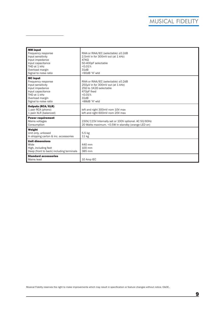# MUSICAL FIDELITY

| <b>MM</b> input<br>Frequency response<br>Input sensitivity<br>Input impedance<br>Input capacitance<br>THD at 1 kHz<br>Overload margin<br>Signal to noise ratio | RIAA or RIAA/IEC (selectable) ±0.2dB<br>2.5mV in for 300mV out (at 1 kHz)<br>$47K\Omega$<br>50-400pF selectable<br>< 0.01%<br>31dB<br>>90dB "A"-wtd    |  |
|----------------------------------------------------------------------------------------------------------------------------------------------------------------|--------------------------------------------------------------------------------------------------------------------------------------------------------|--|
| <b>MC</b> input<br>Frequency response<br>Input sensitivity<br>Input impedance<br>Input capacitance<br>THD at 1 kHz<br>Overload margin<br>Signal to noise ratio | RIAA or RIAA/IEC (selectable) ±0.2dB<br>250µV in for 300mV out (at 1 kHz)<br>25Ω to 1K2Ω selectable<br>470pF fixed<br>< 0.01%<br>31dB<br>>88dB "A"-wtd |  |
| <b>Outputs (RCA/XLR)</b><br>1 pair RCA (phono)<br>1 paiir XLR (balanced)                                                                                       | left and right 300mV nom 10V max<br>left and right 600mV nom 20V max                                                                                   |  |
| <b>Power requirement</b><br>Mains voltages<br>Consumption                                                                                                      | 230V/115V Internally set or 100V optional. AC 50/60Hz<br>20 Watts maximum. < 0.5W in standby (orange LED on)                                           |  |
| Weight<br>Unit only, unboxed<br>In shipping carton & inc. accessories                                                                                          | 5.5 kg<br>11 <sub>kg</sub>                                                                                                                             |  |
| <b>Unit dimensions</b><br>Wide<br>High, including feet<br>Deep (front to back) including terminals                                                             | 440 mm<br>100 mm<br>385 mm                                                                                                                             |  |
| <b>Standard accessories</b><br>Mains lead                                                                                                                      | 10 Amp IEC                                                                                                                                             |  |

<u>waxaa ka sida lagu saraalka lagu saraalka lagu saraalka lagu saraalka lagu saraalka lagu saraalka lagu saraalka</u>

Musical Fidelity reserves the right to make improvements which may result in specification or feature changes without notice. E&OE..